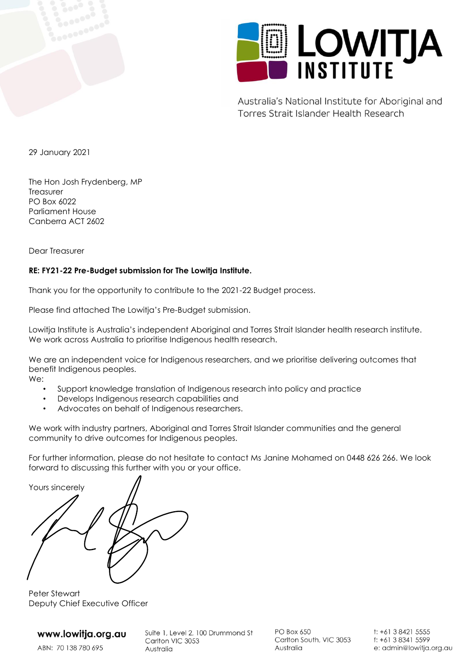



Australia's National Institute for Aboriginal and Torres Strait Islander Health Research

29 January 2021

The Hon Josh Frydenberg, MP **Treasurer** PO Box 6022 Parliament House Canberra ACT 2602

Dear Treasurer

#### **RE: FY21-22 Pre-Budget submission for The Lowitja Institute.**

Thank you for the opportunity to contribute to the 2021-22 Budget process.

Please find attached The Lowitja's Pre-Budget submission.

Lowitja Institute is Australia's independent Aboriginal and Torres Strait Islander health research institute. We work across Australia to prioritise Indigenous health research.

We are an independent voice for Indigenous researchers, and we prioritise delivering outcomes that benefit Indigenous peoples.

We:

- Support knowledge translation of Indigenous research into policy and practice
- Develops Indigenous research capabilities and
- Advocates on behalf of Indigenous researchers.

We work with industry partners, Aboriginal and Torres Strait Islander communities and the general community to drive outcomes for Indigenous peoples.

For further information, please do not hesitate to contact Ms Janine Mohamed on 0448 626 266. We look forward to discussing this further with you or your office.

Yours sincerely

Peter Stewart Deputy Chief Executive Officer

### www.lowitja.org.au

ABN: 70 138 780 695

Suite 1, Level 2, 100 Drummond St Carlton VIC 3053 Australia

**PO Box 650** Carlton South, VIC 3053 Australia

t: +61 3 8421 5555 f: +61 3 8341 5599 e: admin@lowitja.org.au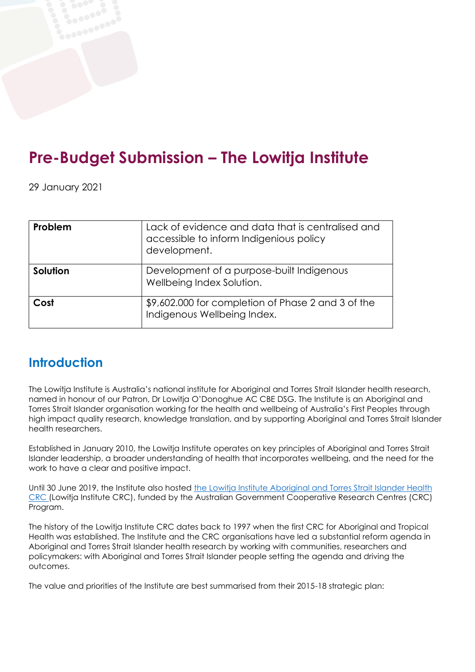# **Pre-Budget Submission – The Lowitja Institute**

29 January 2021

| Problem  | Lack of evidence and data that is centralised and<br>accessible to inform Indigenious policy<br>development. |
|----------|--------------------------------------------------------------------------------------------------------------|
| Solution | Development of a purpose-built Indigenous<br>Wellbeing Index Solution.                                       |
| Cost     | \$9,602.000 for completion of Phase 2 and 3 of the<br>Indigenous Wellbeing Index.                            |

## **Introduction**

The Lowitja Institute is Australia's national institute for Aboriginal and Torres Strait Islander health research, named in honour of our Patron, Dr Lowitja O'Donoghue AC CBE DSG. The Institute is an Aboriginal and Torres Strait Islander organisation working for the health and wellbeing of Australia's First Peoples through high impact quality research, knowledge translation, and by supporting Aboriginal and Torres Strait Islander health researchers.

Established in January 2010, the Lowitja Institute operates on key principles of Aboriginal and Torres Strait Islander leadership, a broader understanding of health that incorporates wellbeing, and the need for the work to have a clear and positive impact.

Until 30 June 2019, the Institute also hosted the Lowitja Institute [Aboriginal](https://www.lowitja.org.au/page/about-us/lowitja-institute-crc/) and Torres Strait Islander Health [CRC](https://www.lowitja.org.au/page/about-us/lowitja-institute-crc/) (Lowitja Institute CRC), funded by the Australian Government Cooperative Research Centres (CRC) Program.

The history of the Lowitja Institute CRC dates back to 1997 when the first CRC for Aboriginal and Tropical Health was established. The Institute and the CRC organisations have led a substantial reform agenda in Aboriginal and Torres Strait Islander health research by working with communities, researchers and policymakers: with Aboriginal and Torres Strait Islander people setting the agenda and driving the outcomes.

The value and priorities of the Institute are best summarised from their 2015-18 strategic plan: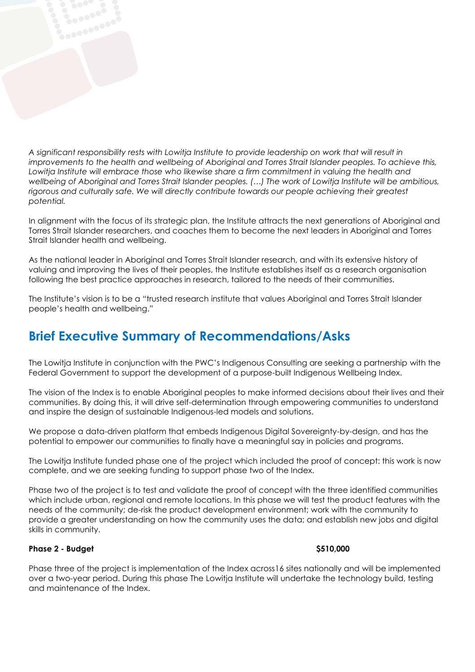*A significant responsibility rests with Lowitja Institute to provide leadership on work that will result in improvements to the health and wellbeing of Aboriginal and Torres Strait Islander peoples. To achieve this,*  Lowitja Institute will embrace those who likewise share a firm commitment in valuing the health and wellbeing of Aboriginal and Torres Strait Islander peoples. (...) The work of Lowitja Institute will be ambitious, *rigorous and culturally safe. We will directly contribute towards our people achieving their greatest potential.* 

In alignment with the focus of its strategic plan, the Institute attracts the next generations of Aboriginal and Torres Strait Islander researchers, and coaches them to become the next leaders in Aboriginal and Torres Strait Islander health and wellbeing.

As the national leader in Aboriginal and Torres Strait Islander research, and with its extensive history of valuing and improving the lives of their peoples, the Institute establishes itself as a research organisation following the best practice approaches in research, tailored to the needs of their communities.

The Institute's vision is to be a "trusted research institute that values Aboriginal and Torres Strait Islander people's health and wellbeing."

### **Brief Executive Summary of Recommendations/Asks**

The Lowitja Institute in conjunction with the PWC's Indigenous Consulting are seeking a partnership with the Federal Government to support the development of a purpose-built Indigenous Wellbeing Index.

The vision of the Index is to enable Aboriginal peoples to make informed decisions about their lives and their communities. By doing this, it will drive self-determination through empowering communities to understand and inspire the design of sustainable Indigenous-led models and solutions.

We propose a data-driven platform that embeds Indigenous Digital Sovereignty-by-design, and has the potential to empower our communities to finally have a meaningful say in policies and programs.

The Lowitja Institute funded phase one of the project which included the proof of concept: this work is now complete, and we are seeking funding to support phase two of the Index.

Phase two of the project is to test and validate the proof of concept with the three identified communities which include urban, regional and remote locations. In this phase we will test the product features with the needs of the community; de-risk the product development environment; work with the community to provide a greater understanding on how the community uses the data; and establish new jobs and digital skills in community.

#### **Phase 2 - Budget \$510,000**

Phase three of the project is implementation of the Index across16 sites nationally and will be implemented over a two-year period. During this phase The Lowitja Institute will undertake the technology build, testing and maintenance of the Index.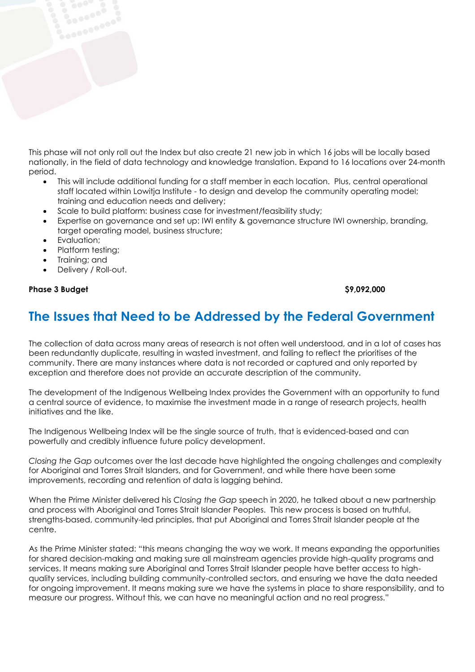This phase will not only roll out the Index but also create 21 new job in which 16 jobs will be locally based nationally, in the field of data technology and knowledge translation. Expand to 16 locations over 24-month period.

- This will include additional funding for a staff member in each location. Plus, central operational staff located within Lowitja Institute - to design and develop the community operating model; training and education needs and delivery;
- Scale to build platform: business case for investment/feasibility study;
- Expertise on governance and set up: IWI entity & governance structure IWI ownership, branding, target operating model, business structure;
- Evaluation:
- Platform testing;
- Training; and
- Delivery / Roll-out.

#### **Phase 3 Budget \$9,092,000**

### **The Issues that Need to be Addressed by the Federal Government**

The collection of data across many areas of research is not often well understood, and in a lot of cases has been redundantly duplicate, resulting in wasted investment, and failing to reflect the prioritises of the community. There are many instances where data is not recorded or captured and only reported by exception and therefore does not provide an accurate description of the community.

The development of the Indigenous Wellbeing Index provides the Government with an opportunity to fund a central source of evidence, to maximise the investment made in a range of research projects, health initiatives and the like.

The Indigenous Wellbeing Index will be the single source of truth, that is evidenced-based and can powerfully and credibly influence future policy development.

*Closing the Gap* outcomes over the last decade have highlighted the ongoing challenges and complexity for Aboriginal and Torres Strait Islanders, and for Government, and while there have been some improvements, recording and retention of data is lagging behind.

When the Prime Minister delivered his *Closing the Gap* speech in 2020, he talked about a new partnership and process with Aboriginal and Torres Strait Islander Peoples. This new process is based on truthful, strengths-based, community-led principles, that put Aboriginal and Torres Strait Islander people at the centre.

As the Prime Minister stated: "this means changing the way we work. It means expanding the opportunities for shared decision-making and making sure all mainstream agencies provide high-quality programs and services. It means making sure Aboriginal and Torres Strait Islander people have better access to highquality services, including building community-controlled sectors, and ensuring we have the data needed for ongoing improvement. It means making sure we have the systems in place to share responsibility, and to measure our progress. Without this, we can have no meaningful action and no real progress."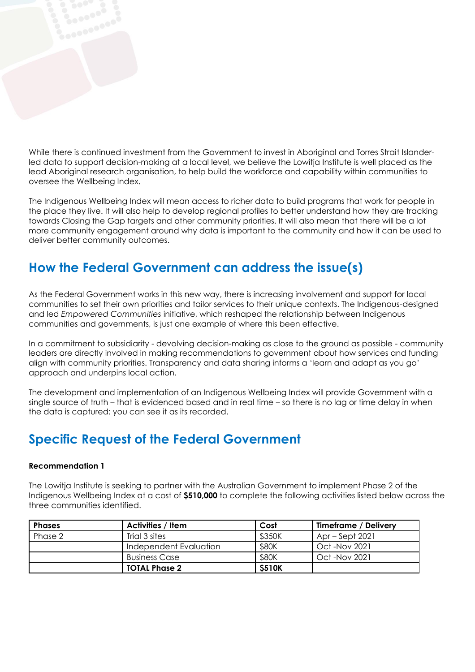While there is continued investment from the Government to invest in Aboriginal and Torres Strait Islanderled data to support decision-making at a local level, we believe the Lowitja Institute is well placed as the lead Aboriginal research organisation, to help build the workforce and capability within communities to oversee the Wellbeing Index.

The Indigenous Wellbeing Index will mean access to richer data to build programs that work for people in the place they live. It will also help to develop regional profiles to better understand how they are tracking towards Closing the Gap targets and other community priorities. It will also mean that there will be a lot more community engagement around why data is important to the community and how it can be used to deliver better community outcomes.

## **How the Federal Government can address the issue(s)**

As the Federal Government works in this new way, there is increasing involvement and support for local communities to set their own priorities and tailor services to their unique contexts. The Indigenous-designed and led *Empowered Communities* initiative, which reshaped the relationship between Indigenous communities and governments, is just one example of where this been effective.

In a commitment to subsidiarity - devolving decision-making as close to the ground as possible - community leaders are directly involved in making recommendations to government about how services and funding align with community priorities. Transparency and data sharing informs a 'learn and adapt as you go' approach and underpins local action.

The development and implementation of an Indigenous Wellbeing Index will provide Government with a single source of truth – that is evidenced based and in real time – so there is no lag or time delay in when the data is captured: you can see it as its recorded.

### **Specific Request of the Federal Government**

#### **Recommendation 1**

The Lowitja Institute is seeking to partner with the Australian Government to implement Phase 2 of the Indigenous Wellbeing Index at a cost of **\$510,000** to complete the following activities listed below across the three communities identified.

| <b>Phases</b> | Activities / Item      | Cost          | Timeframe / Delivery |
|---------------|------------------------|---------------|----------------------|
| Phase 2       | Trial 3 sites          | \$350K        | $Apr - Sept 2021$    |
|               | Independent Evaluation | \$80K         | Oct -Nov 2021        |
|               | <b>Business Case</b>   | \$80K         | Oct -Nov 2021        |
|               | <b>TOTAL Phase 2</b>   | <b>\$510K</b> |                      |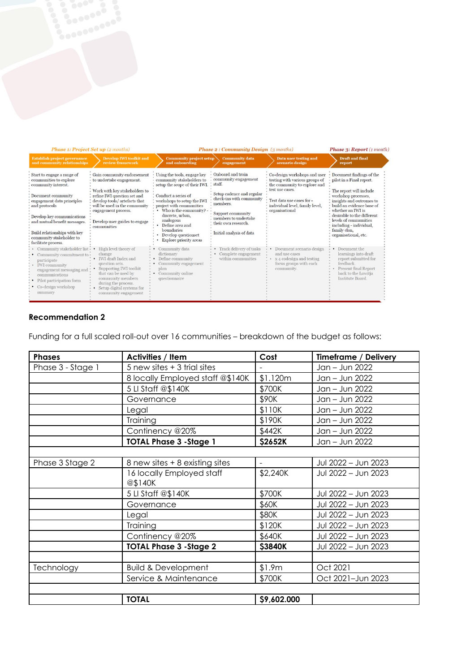| <b>Phase 1: Project Set up (2 months)</b>                                                                                                                                                                                                                                                         |                                                                                                                                                                                                                                                                 | <b>Phase 2: Community Design</b> (3 months)                                                                                                                                                                                                                                                                            |                                                                                                                                                                                                                          |                                                                                                                                                                                                     | <b>Phase 3: Report</b> (1 month)                                                                                                                                                                                                                                                                               |
|---------------------------------------------------------------------------------------------------------------------------------------------------------------------------------------------------------------------------------------------------------------------------------------------------|-----------------------------------------------------------------------------------------------------------------------------------------------------------------------------------------------------------------------------------------------------------------|------------------------------------------------------------------------------------------------------------------------------------------------------------------------------------------------------------------------------------------------------------------------------------------------------------------------|--------------------------------------------------------------------------------------------------------------------------------------------------------------------------------------------------------------------------|-----------------------------------------------------------------------------------------------------------------------------------------------------------------------------------------------------|----------------------------------------------------------------------------------------------------------------------------------------------------------------------------------------------------------------------------------------------------------------------------------------------------------------|
| <b>Establish project governance</b><br>and community relationships                                                                                                                                                                                                                                | <b>Develop IWI toolkit and</b><br>review framework                                                                                                                                                                                                              | <b>Community project setup</b><br>and onboarding                                                                                                                                                                                                                                                                       | <b>Community data</b><br>engagement                                                                                                                                                                                      | <b>Data user testing and</b><br>scenario design                                                                                                                                                     | <b>Draft</b> and final<br>report                                                                                                                                                                                                                                                                               |
| Start to engage a range of<br>communities to explore<br>community interest.<br>Document community<br>engagement data principles<br>and protocols<br>Develop key communications<br>and mutual benefit messages.<br>Build relationships with key<br>community stakeholder to<br>facilitate process. | Gain community endorsement<br>to undertake engagement.<br>Work with key stakeholders to<br>refine IWI question set and<br>develop tools/ artefacts that<br>will be used in the community<br>engagement process.<br>Develop user guides to engage<br>communities | Using the tools, engage key<br>community stakeholders to<br>setup the scope of their IWI.<br>Conduct a series of<br>workshops to setup the IWI<br>project with communities<br>Who is the community?<br>discrete, urban,<br>analogous<br>Define area and<br>boundaries<br>Develop questionset<br>Explore priority areas | Onboard and train<br>community engagement<br>staff.<br>Setup cadence and regular<br>check-ins with community<br>members.<br>Support community<br>members to undertake<br>their own research.<br>Initial analysis of data | Co-design workshops and user<br>testing with various groups of<br>the community to explore and<br>test use cases.<br>Test data use cases for -<br>individual level, family level,<br>organisational | Document findings of the<br>pilot in a Final report.<br>The report will include<br>workshop processes,<br>insights and outcomes to<br>build an evidence base of<br>whether an IWI is<br>desirable to the different<br>levels of communities<br>including - individual,<br>family clan,<br>organisational, etc. |
| Community stakeholder list -<br>Community commitment to .<br>participate<br><b>IWI</b> community<br>engagement messaging and<br>communications<br>Pilot participation form<br>Co-design workshop<br>summary                                                                                       | High level theory of<br>change<br><b>IWI</b> draft Index and<br>question sets.<br>Supporting IWI toolkit<br>that can be used by<br>community members<br>during the process.<br>Setup digital systems for<br>community engagement                                | Community data<br>dictionary<br>Define community<br>Community engagement<br>plan<br>Community online<br>questionnaire                                                                                                                                                                                                  | Track delivery of tasks<br>Complete engagement<br>within communities                                                                                                                                                     | Document scenario design<br>and use cases<br>x 4 codesign and testing<br>focus groups with each<br>community.                                                                                       | Document the<br>learnings into draft<br>report submitted for<br>feedback.<br><b>Present final Report</b><br>back to the Lowitja<br>Institute Board                                                                                                                                                             |

#### **Recommendation 2**

Funding for a full scaled roll-out over 16 communities – breakdown of the budget as follows:

| <b>Phases</b>     | <b>Activities / Item</b>             | Cost                     | <b>Timeframe / Delivery</b> |
|-------------------|--------------------------------------|--------------------------|-----------------------------|
| Phase 3 - Stage 1 | 5 new sites + 3 trial sites          |                          | Jan - Jun 2022              |
|                   | 8 locally Employed staff @\$140K     | \$1.120m                 | Jan - Jun 2022              |
|                   | 5 LI Staff @\$140K                   | \$700K                   | Jan - Jun 2022              |
|                   | Governance                           | \$90K                    | Jan - Jun 2022              |
|                   | Legal                                | \$110K                   | Jan - Jun 2022              |
|                   | Training                             | \$190K                   | Jan - Jun 2022              |
|                   | Continency @20%                      | \$442K                   | Jan - Jun 2022              |
|                   | <b>TOTAL Phase 3 - Stage 1</b>       | \$2652K                  | Jan - Jun 2022              |
|                   |                                      |                          |                             |
| Phase 3 Stage 2   | 8 new sites + 8 existing sites       | $\overline{\phantom{a}}$ | Jul 2022 - Jun 2023         |
|                   | 16 locally Employed staff<br>@\$140K | \$2,240K                 | Jul 2022 - Jun 2023         |
|                   | 5 LI Staff @\$140K                   | \$700K                   | Jul 2022 - Jun 2023         |
|                   | Governance                           | \$60K                    | Jul 2022 - Jun 2023         |
|                   | Legal                                | \$80K                    | Jul 2022 - Jun 2023         |
|                   | Training                             | \$120K                   | Jul 2022 - Jun 2023         |
|                   | Continency @20%                      | \$640K                   | Jul 2022 - Jun 2023         |
|                   | <b>TOTAL Phase 3 - Stage 2</b>       | <b>\$3840K</b>           | Jul 2022 - Jun 2023         |
|                   |                                      |                          |                             |
| Technology        | <b>Build &amp; Development</b>       | \$1.9m                   | Oct 2021                    |
|                   | Service & Maintenance                | \$700K                   | Oct 2021-Jun 2023           |
|                   |                                      |                          |                             |
|                   | <b>TOTAL</b>                         | \$9,602.000              |                             |